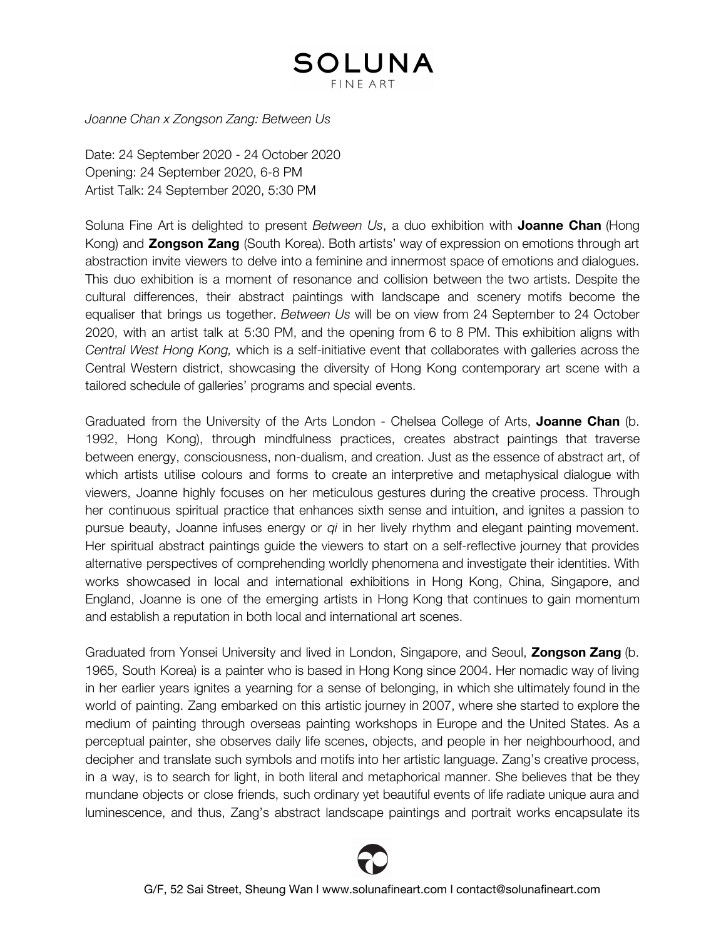## SOLUNA **FINE ART**

*Joanne Chan x Zongson Zang: Between Us*

Date: 24 September 2020 - 24 October 2020 Opening: 24 September 2020, 6-8 PM Artist Talk: 24 September 2020, 5:30 PM

Soluna Fine Art is delighted to present *Between Us*, a duo exhibition with **Joanne Chan** (Hong Kong) and **Zongson Zang** (South Korea). Both artists' way of expression on emotions through art abstraction invite viewers to delve into a feminine and innermost space of emotions and dialogues. This duo exhibition is a moment of resonance and collision between the two artists. Despite the cultural differences, their abstract paintings with landscape and scenery motifs become the equaliser that brings us together. *Between Us* will be on view from 24 September to 24 October 2020, with an artist talk at 5:30 PM, and the opening from 6 to 8 PM. This exhibition aligns with *Central West Hong Kong,* which is a self-initiative event that collaborates with galleries across the Central Western district, showcasing the diversity of Hong Kong contemporary art scene with a tailored schedule of galleries' programs and special events.

Graduated from the University of the Arts London - Chelsea College of Arts, **Joanne Chan** (b. 1992, Hong Kong), through mindfulness practices, creates abstract paintings that traverse between energy, consciousness, non-dualism, and creation. Just as the essence of abstract art, of which artists utilise colours and forms to create an interpretive and metaphysical dialogue with viewers, Joanne highly focuses on her meticulous gestures during the creative process. Through her continuous spiritual practice that enhances sixth sense and intuition, and ignites a passion to pursue beauty, Joanne infuses energy or *qi* in her lively rhythm and elegant painting movement. Her spiritual abstract paintings guide the viewers to start on a self-reflective journey that provides alternative perspectives of comprehending worldly phenomena and investigate their identities. With works showcased in local and international exhibitions in Hong Kong, China, Singapore, and England, Joanne is one of the emerging artists in Hong Kong that continues to gain momentum and establish a reputation in both local and international art scenes.

Graduated from Yonsei University and lived in London, Singapore, and Seoul, **Zongson Zang** (b. 1965, South Korea) is a painter who is based in Hong Kong since 2004. Her nomadic way of living in her earlier years ignites a yearning for a sense of belonging, in which she ultimately found in the world of painting. Zang embarked on this artistic journey in 2007, where she started to explore the medium of painting through overseas painting workshops in Europe and the United States. As a perceptual painter, she observes daily life scenes, objects, and people in her neighbourhood, and decipher and translate such symbols and motifs into her artistic language. Zang's creative process, in a way, is to search for light, in both literal and metaphorical manner. She believes that be they mundane objects or close friends, such ordinary yet beautiful events of life radiate unique aura and luminescence, and thus, Zang's abstract landscape paintings and portrait works encapsulate its

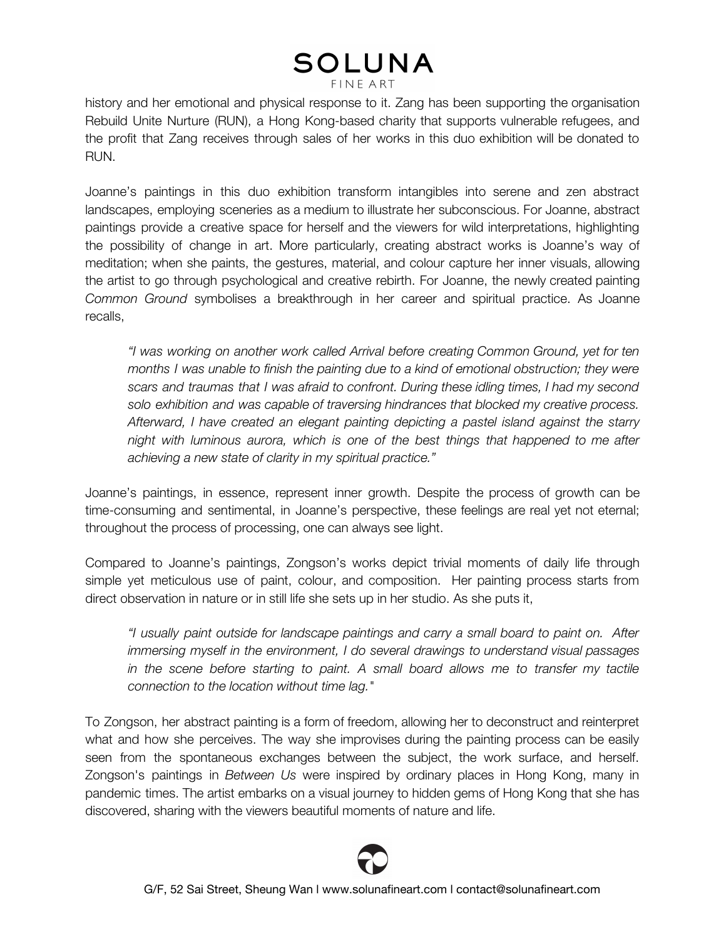## **SOLUNA FINE ART**

history and her emotional and physical response to it. Zang has been supporting the organisation Rebuild Unite Nurture (RUN), a Hong Kong-based charity that supports vulnerable refugees, and the profit that Zang receives through sales of her works in this duo exhibition will be donated to RUN.

Joanne's paintings in this duo exhibition transform intangibles into serene and zen abstract landscapes, employing sceneries as a medium to illustrate her subconscious. For Joanne, abstract paintings provide a creative space for herself and the viewers for wild interpretations, highlighting the possibility of change in art. More particularly, creating abstract works is Joanne's way of meditation; when she paints, the gestures, material, and colour capture her inner visuals, allowing the artist to go through psychological and creative rebirth. For Joanne, the newly created painting *Common Ground* symbolises a breakthrough in her career and spiritual practice. As Joanne recalls,

*"I was working on another work called Arrival before creating Common Ground, yet for ten months I was unable to finish the painting due to a kind of emotional obstruction; they were scars and traumas that I was afraid to confront. During these idling times, I had my second solo exhibition and was capable of traversing hindrances that blocked my creative process. Afterward, I have created an elegant painting depicting a pastel island against the starry night with luminous aurora, which is one of the best things that happened to me after achieving a new state of clarity in my spiritual practice."*

Joanne's paintings, in essence, represent inner growth. Despite the process of growth can be time-consuming and sentimental, in Joanne's perspective, these feelings are real yet not eternal; throughout the process of processing, one can always see light.

Compared to Joanne's paintings, Zongson's works depict trivial moments of daily life through simple yet meticulous use of paint, colour, and composition. Her painting process starts from direct observation in nature or in still life she sets up in her studio. As she puts it,

*"I usually paint outside for landscape paintings and carry a small board to paint on. After immersing myself in the environment, I do several drawings to understand visual passages in the scene before starting to paint. A small board allows me to transfer my tactile connection to the location without time lag."*

To Zongson, her abstract painting is a form of freedom, allowing her to deconstruct and reinterpret what and how she perceives. The way she improvises during the painting process can be easily seen from the spontaneous exchanges between the subject, the work surface, and herself. Zongson's paintings in *Between Us* were inspired by ordinary places in Hong Kong, many in pandemic times. The artist embarks on a visual journey to hidden gems of Hong Kong that she has discovered, sharing with the viewers beautiful moments of nature and life.